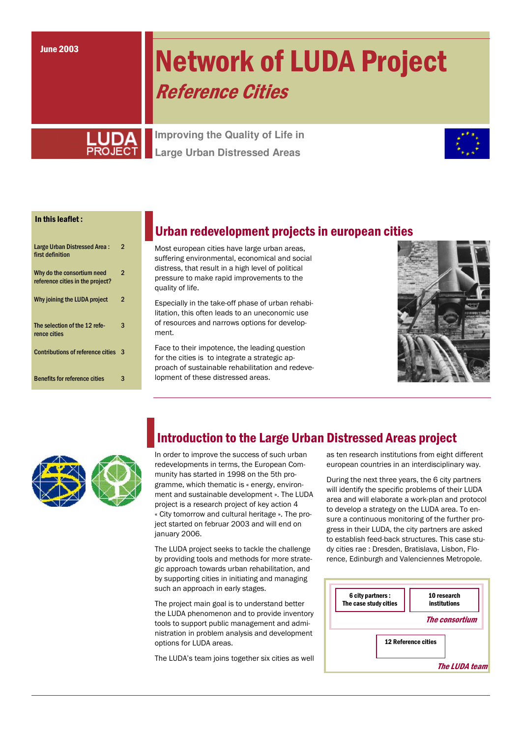# **Network of LUDA Project Reference Cities**

**Improving the Quality of Life in Large Urban Distressed Areas** 



#### In this leaflet:

| Large Urban Distressed Area:<br>first definition               | 2              |
|----------------------------------------------------------------|----------------|
| Why do the consortium need<br>reference cities in the project? | $\overline{2}$ |
| Why joining the LUDA project                                   | 2              |
| The selection of the 12 refe-<br>rence cities                  | 3              |
| <b>Contributions of reference cities</b>                       | з              |
| <b>Benefits for reference cities</b>                           | З              |

### Urban redevelopment projects in european cities

Most european cities have large urban areas. suffering environmental, economical and social distress, that result in a high level of political pressure to make rapid improvements to the quality of life.

Especially in the take-off phase of urban rehabilitation, this often leads to an uneconomic use of resources and narrows options for development

Face to their impotence, the leading question for the cities is to integrate a strategic approach of sustainable rehabilitation and redevelopment of these distressed areas.





### **Introduction to the Large Urban Distressed Areas project**

In order to improve the success of such urban redevelopments in terms, the European Community has started in 1998 on the 5th programme, which thematic is « energy, environment and sustainable development ». The LUDA project is a research project of key action 4 « City tomorrow and cultural heritage ». The project started on februar 2003 and will end on ianuary 2006.

The LUDA project seeks to tackle the challenge by providing tools and methods for more strategic approach towards urban rehabilitation, and by supporting cities in initiating and managing such an approach in early stages.

The project main goal is to understand better the LUDA phenomenon and to provide inventory tools to support public management and administration in problem analysis and development options for LUDA areas.

The LUDA's team joins together six cities as well

as ten research institutions from eight different european countries in an interdisciplinary way.

During the next three years, the 6 city partners will identify the specific problems of their LUDA area and will elaborate a work-plan and protocol to develop a strategy on the LUDA area. To ensure a continuous monitoring of the further progress in their LUDA, the city partners are asked to establish feed-back structures. This case study cities rae: Dresden, Bratislava, Lisbon, Florence, Edinburgh and Valenciennes Metropole.

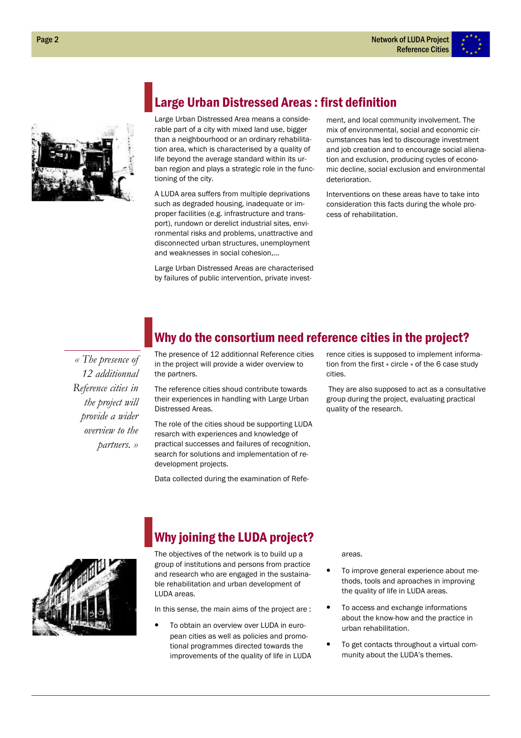



### **Large Urban Distressed Areas: first definition**

Large Urban Distressed Area means a considerable part of a city with mixed land use, bigger than a neighbourhood or an ordinary rehabilitation area, which is characterised by a quality of life beyond the average standard within its urban region and plays a strategic role in the functioning of the city.

A LUDA area suffers from multiple deprivations such as degraded housing, inadequate or improper facilities (e.g. infrastructure and transport), rundown or derelict industrial sites, environmental risks and problems, unattractive and disconnected urban structures, unemployment and weaknesses in social cohesion,...

Large Urban Distressed Areas are characterised by failures of public intervention, private investment, and local community involvement. The mix of environmental, social and economic circumstances has led to discourage investment and job creation and to encourage social alienation and exclusion, producing cycles of economic decline, social exclusion and environmental deterioration.

Interventions on these areas have to take into consideration this facts during the whole process of rehabilitation.

« The presence of 12 additionnal Reference cities in the project will provide a wider *overview to the* partners. »

## Why do the consortium need reference cities in the project?

The presence of 12 additionnal Reference cities in the project will provide a wider overview to the partners.

The reference cities shoud contribute towards their experiences in handling with Large Urban Distressed Areas.

The role of the cities shoud be supporting LUDA resarch with experiences and knowledge of practical successes and failures of recognition, search for solutions and implementation of redevelopment projects.

Data collected during the examination of Refe-

rence cities is supposed to implement information from the first « circle » of the 6 case study cities

They are also supposed to act as a consultative group during the project, evaluating practical quality of the research.



# **Why joining the LUDA project?**

The objectives of the network is to build up a group of institutions and persons from practice and research who are engaged in the sustainable rehabilitation and urban development of LUDA areas.

In this sense, the main aims of the project are:

To obtain an overview over LUDA in european cities as well as policies and promotional programmes directed towards the improvements of the quality of life in LUDA areas.

- To improve general experience about methods, tools and aproaches in improving the quality of life in LUDA areas.
- To access and exchange informations about the know-how and the practice in urban rehabilitation
- To get contacts throughout a virtual community about the LUDA's themes.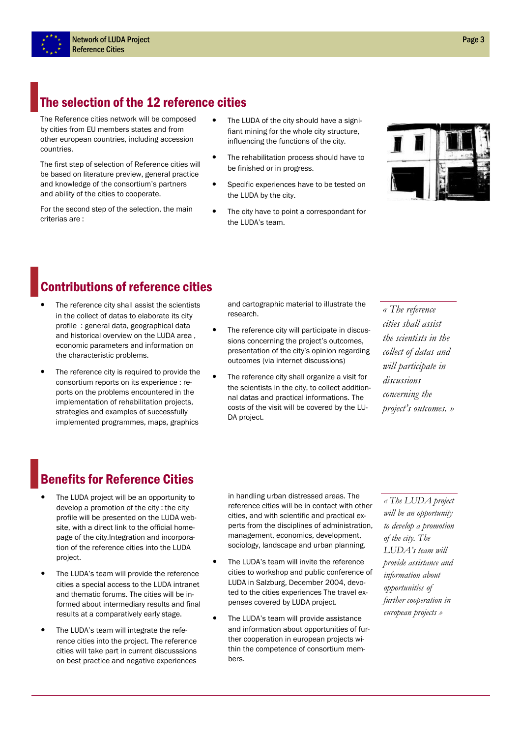# The selection of the 12 reference cities

The Reference cities network will be composed by cities from EU members states and from other european countries, including accession countries.

The first step of selection of Reference cities will be based on literature preview, general practice and knowledge of the consortium's partners and ability of the cities to cooperate.

For the second step of the selection, the main criterias are:

- The LUDA of the city should have a signifiant mining for the whole city structure, influencing the functions of the city.
- The rehabilitation process should have to be finished or in progress.
- Specific experiences have to be tested on the LUDA by the city.
- The city have to point a correspondant for the LUDA's team.



# **Contributions of reference cities**

- The reference city shall assist the scientists in the collect of datas to elaborate its city profile : general data, geographical data and historical overview on the LUDA area, economic parameters and information on the characteristic problems.
- The reference city is required to provide the consortium reports on its experience : reports on the problems encountered in the implementation of rehabilitation projects, strategies and examples of successfully implemented programmes, maps, graphics

and cartographic material to illustrate the research.

- $\bullet$ The reference city will participate in discussions concerning the project's outcomes, presentation of the city's opinion regarding outcomes (via internet discussions)
- The reference city shall organize a visit for the scientists in the city, to collect additionnal datas and practical informations. The costs of the visit will be covered by the LU-DA project.

« The reference cities shall assist the scientists in the collect of datas and will participate in discussions concerning the project's outcomes. »

### **Benefits for Reference Cities**

- The LUDA project will be an opportunity to develop a promotion of the city: the city profile will be presented on the LUDA website, with a direct link to the official homepage of the city. Integration and incorporation of the reference cities into the LUDA project.
- The LUDA's team will provide the reference cities a special access to the LUDA intranet and thematic forums. The cities will be informed about intermediary results and final results at a comparatively early stage.
- The LUDA's team will integrate the reference cities into the project. The reference cities will take part in current discusssions on best practice and negative experiences

in handling urban distressed areas. The reference cities will be in contact with other cities, and with scientific and practical experts from the disciplines of administration, management, economics, development, sociology, landscape and urban planning.

- The LUDA's team will invite the reference cities to workshop and public conference of LUDA in Salzburg, December 2004, devoted to the cities experiences The travel expenses covered by LUDA project.
- The LUDA's team will provide assistance and information about opportunities of further cooperation in european projects within the competence of consortium members.

« The LUDA project will be an opportunity to develop a promotion of the city. The LUDA's team will provide assistance and information about opportunities of further cooperation in european projects »